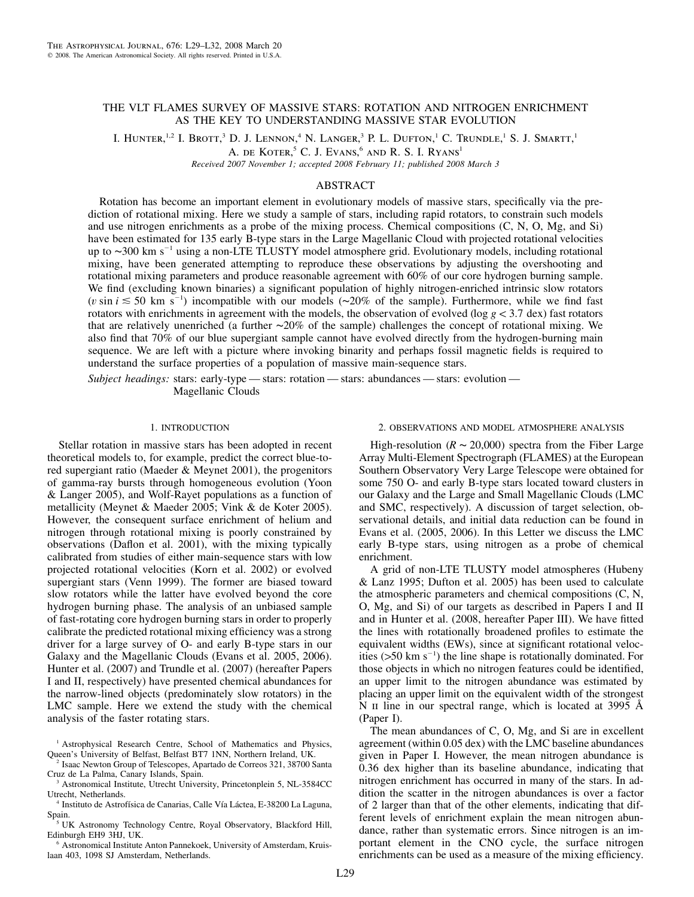# THE VLT FLAMES SURVEY OF MASSIVE STARS: ROTATION AND NITROGEN ENRICHMENT AS THE KEY TO UNDERSTANDING MASSIVE STAR EVOLUTION

I. HUNTER,<sup>1,2</sup> I. Brott,<sup>3</sup> D. J. Lennon,<sup>4</sup> N. Langer,<sup>3</sup> P. L. Dufton,<sup>1</sup> C. Trundle,<sup>1</sup> S. J. Smartt,<sup>1</sup>

A. DE KOTER,<sup>5</sup> C. J. EVANS,<sup>6</sup> AND R. S. I. RYANS<sup>1</sup>

*Received 2007 November 1; accepted 2008 February 11; published 2008 March 3*

# ABSTRACT

Rotation has become an important element in evolutionary models of massive stars, specifically via the prediction of rotational mixing. Here we study a sample of stars, including rapid rotators, to constrain such models and use nitrogen enrichments as a probe of the mixing process. Chemical compositions (C, N, O, Mg, and Si) have been estimated for 135 early B-type stars in the Large Magellanic Cloud with projected rotational velocities up to ∼300 km s<sup>-1</sup> using a non-LTE TLUSTY model atmosphere grid. Evolutionary models, including rotational mixing, have been generated attempting to reproduce these observations by adjusting the overshooting and rotational mixing parameters and produce reasonable agreement with 60% of our core hydrogen burning sample. We find (excluding known binaries) a significant population of highly nitrogen-enriched intrinsic slow rotators (*v* sin *i* ≤ 50 km s<sup>-1</sup>) incompatible with our models (∼20% of the sample). Furthermore, while we find fast rotators with enrichments in agreement with the models, the observation of evolved ( $\log g < 3.7$  dex) fast rotators that are relatively unenriched (a further ∼20% of the sample) challenges the concept of rotational mixing. We also find that 70% of our blue supergiant sample cannot have evolved directly from the hydrogen-burning main sequence. We are left with a picture where invoking binarity and perhaps fossil magnetic fields is required to understand the surface properties of a population of massive main-sequence stars.

*Subject headings:* stars: early-type — stars: rotation — stars: abundances — stars: evolution — Magellanic Clouds

## 1. INTRODUCTION

Stellar rotation in massive stars has been adopted in recent theoretical models to, for example, predict the correct blue-tored supergiant ratio (Maeder & Meynet 2001), the progenitors of gamma-ray bursts through homogeneous evolution (Yoon & Langer 2005), and Wolf-Rayet populations as a function of metallicity (Meynet & Maeder 2005; Vink & de Koter 2005). However, the consequent surface enrichment of helium and nitrogen through rotational mixing is poorly constrained by observations (Daflon et al. 2001), with the mixing typically calibrated from studies of either main-sequence stars with low projected rotational velocities (Korn et al. 2002) or evolved supergiant stars (Venn 1999). The former are biased toward slow rotators while the latter have evolved beyond the core hydrogen burning phase. The analysis of an unbiased sample of fast-rotating core hydrogen burning stars in order to properly calibrate the predicted rotational mixing efficiency was a strong driver for a large survey of O- and early B-type stars in our Galaxy and the Magellanic Clouds (Evans et al. 2005, 2006). Hunter et al. (2007) and Trundle et al. (2007) (hereafter Papers I and II, respectively) have presented chemical abundances for the narrow-lined objects (predominately slow rotators) in the LMC sample. Here we extend the study with the chemical analysis of the faster rotating stars.

<sup>5</sup> UK Astronomy Technology Centre, Royal Observatory, Blackford Hill, Edinburgh EH9 3HJ, UK.

<sup>6</sup> Astronomical Institute Anton Pannekoek, University of Amsterdam, Kruislaan 403, 1098 SJ Amsterdam, Netherlands.

#### 2. OBSERVATIONS AND MODEL ATMOSPHERE ANALYSIS

High-resolution ( $R \sim 20,000$ ) spectra from the Fiber Large Array Multi-Element Spectrograph (FLAMES) at the European Southern Observatory Very Large Telescope were obtained for some 750 O- and early B-type stars located toward clusters in our Galaxy and the Large and Small Magellanic Clouds (LMC and SMC, respectively). A discussion of target selection, observational details, and initial data reduction can be found in Evans et al. (2005, 2006). In this Letter we discuss the LMC early B-type stars, using nitrogen as a probe of chemical enrichment.

A grid of non-LTE TLUSTY model atmospheres (Hubeny & Lanz 1995; Dufton et al. 2005) has been used to calculate the atmospheric parameters and chemical compositions (C, N, O, Mg, and Si) of our targets as described in Papers I and II and in Hunter et al. (2008, hereafter Paper III). We have fitted the lines with rotationally broadened profiles to estimate the equivalent widths (EWs), since at significant rotational velocities ( $>50$  km s<sup>-1</sup>) the line shape is rotationally dominated. For those objects in which no nitrogen features could be identified, an upper limit to the nitrogen abundance was estimated by placing an upper limit on the equivalent width of the strongest N II line in our spectral range, which is located at 3995 Å (Paper I).

The mean abundances of C, O, Mg, and Si are in excellent agreement (within 0.05 dex) with the LMC baseline abundances given in Paper I. However, the mean nitrogen abundance is 0.36 dex higher than its baseline abundance, indicating that nitrogen enrichment has occurred in many of the stars. In addition the scatter in the nitrogen abundances is over a factor of 2 larger than that of the other elements, indicating that different levels of enrichment explain the mean nitrogen abundance, rather than systematic errors. Since nitrogen is an important element in the CNO cycle, the surface nitrogen enrichments can be used as a measure of the mixing efficiency.

<sup>&</sup>lt;sup>1</sup> Astrophysical Research Centre, School of Mathematics and Physics, Queen's University of Belfast, Belfast BT7 1NN, Northern Ireland, UK.

<sup>2</sup> Isaac Newton Group of Telescopes, Apartado de Correos 321, 38700 Santa Cruz de La Palma, Canary Islands, Spain.

<sup>3</sup> Astronomical Institute, Utrecht University, Princetonplein 5, NL-3584CC Utrecht, Netherlands.

<sup>&</sup>lt;sup>4</sup> Instituto de Astrofísica de Canarias, Calle Vía Láctea, E-38200 La Laguna, Spain.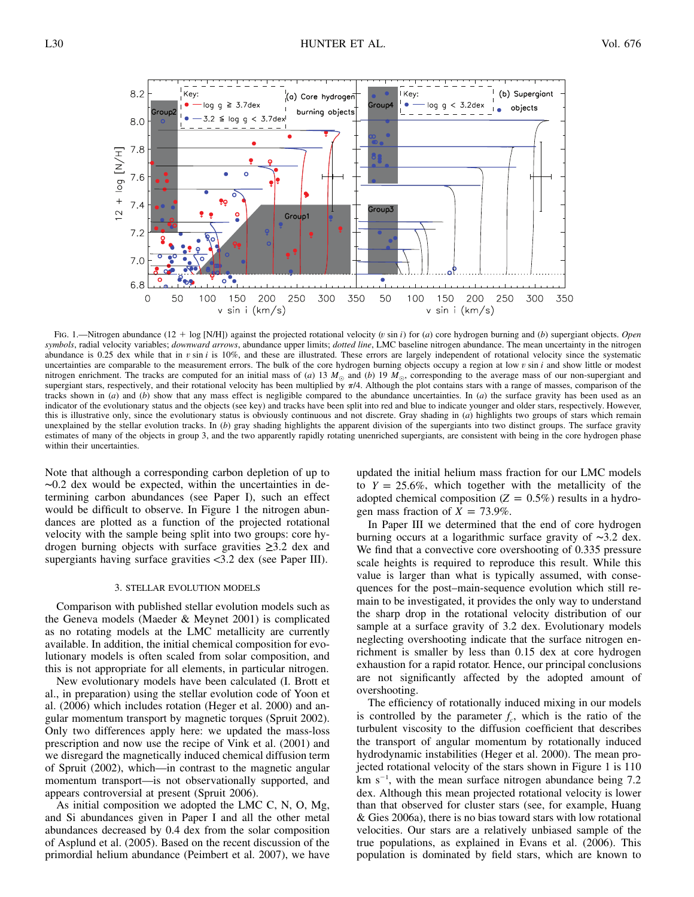

Fig. 1.—Nitrogen abundance (12 + log [N/H]) against the projected rotational velocity (v sin i) for (a) core hydrogen burning and (b) supergiant objects. Open *symbols*, radial velocity variables; *downward arrows*, abundance upper limits; *dotted line*, LMC baseline nitrogen abundance. The mean uncertainty in the nitrogen abundance is 0.25 dex while that in  $v \sin i$  is 10%, and these are illustrated. These errors are largely independent of rotational velocity since the systematic uncertainties are comparable to the measurement errors. The bulk of the core hydrogen burning objects occupy a region at  $\log v \sin i$  and show little or modest nitrogen enrichment. The tracks are computed for an initial mass of (*a*) 13  $M_{\odot}$  and (*b*) 19  $M_{\odot}$ , corresponding to the average mass of our non-supergiant and supergiant stars, respectively, and their rotational velocity has been multiplied by  $\pi/4$ . Although the plot contains stars with a range of masses, comparison of the tracks shown in (*a*) and (*b*) show that any mass effect is negligible compared to the abundance uncertainties. In (*a*) the surface gravity has been used as an indicator of the evolutionary status and the objects (see key) and tracks have been split into red and blue to indicate younger and older stars, respectively. However, this is illustrative only, since the evolutionary status is obviously continuous and not discrete. Gray shading in (*a*) highlights two groups of stars which remain unexplained by the stellar evolution tracks. In (*b*) gray shading highlights the apparent division of the supergiants into two distinct groups. The surface gravity estimates of many of the objects in group 3, and the two apparently rapidly rotating unenriched supergiants, are consistent with being in the core hydrogen phase within their uncertainties.

Note that although a corresponding carbon depletion of up to ∼0.2 dex would be expected, within the uncertainties in determining carbon abundances (see Paper I), such an effect would be difficult to observe. In Figure 1 the nitrogen abundances are plotted as a function of the projected rotational velocity with the sample being split into two groups: core hydrogen burning objects with surface gravities ≥3.2 dex and supergiants having surface gravities  $\langle 3.2 \rangle$  dex (see Paper III).

#### 3. STELLAR EVOLUTION MODELS

Comparison with published stellar evolution models such as the Geneva models (Maeder & Meynet 2001) is complicated as no rotating models at the LMC metallicity are currently available. In addition, the initial chemical composition for evolutionary models is often scaled from solar composition, and this is not appropriate for all elements, in particular nitrogen.

New evolutionary models have been calculated (I. Brott et al., in preparation) using the stellar evolution code of Yoon et al. (2006) which includes rotation (Heger et al. 2000) and angular momentum transport by magnetic torques (Spruit 2002). Only two differences apply here: we updated the mass-loss prescription and now use the recipe of Vink et al. (2001) and we disregard the magnetically induced chemical diffusion term of Spruit (2002), which—in contrast to the magnetic angular momentum transport—is not observationally supported, and appears controversial at present (Spruit 2006).

As initial composition we adopted the LMC C, N, O, Mg, and Si abundances given in Paper I and all the other metal abundances decreased by 0.4 dex from the solar composition of Asplund et al. (2005). Based on the recent discussion of the primordial helium abundance (Peimbert et al. 2007), we have

updated the initial helium mass fraction for our LMC models to  $Y = 25.6\%$ , which together with the metallicity of the adopted chemical composition ( $Z = 0.5\%$ ) results in a hydrogen mass fraction of  $X = 73.9\%$ .

In Paper III we determined that the end of core hydrogen burning occurs at a logarithmic surface gravity of ∼3.2 dex. We find that a convective core overshooting of 0.335 pressure scale heights is required to reproduce this result. While this value is larger than what is typically assumed, with consequences for the post–main-sequence evolution which still remain to be investigated, it provides the only way to understand the sharp drop in the rotational velocity distribution of our sample at a surface gravity of 3.2 dex. Evolutionary models neglecting overshooting indicate that the surface nitrogen enrichment is smaller by less than 0.15 dex at core hydrogen exhaustion for a rapid rotator. Hence, our principal conclusions are not significantly affected by the adopted amount of overshooting.

The efficiency of rotationally induced mixing in our models is controlled by the parameter  $f_c$ , which is the ratio of the turbulent viscosity to the diffusion coefficient that describes the transport of angular momentum by rotationally induced hydrodynamic instabilities (Heger et al. 2000). The mean projected rotational velocity of the stars shown in Figure 1 is 110  $km s^{-1}$ , with the mean surface nitrogen abundance being 7.2 dex. Although this mean projected rotational velocity is lower than that observed for cluster stars (see, for example, Huang & Gies 2006a), there is no bias toward stars with low rotational velocities. Our stars are a relatively unbiased sample of the true populations, as explained in Evans et al. (2006). This population is dominated by field stars, which are known to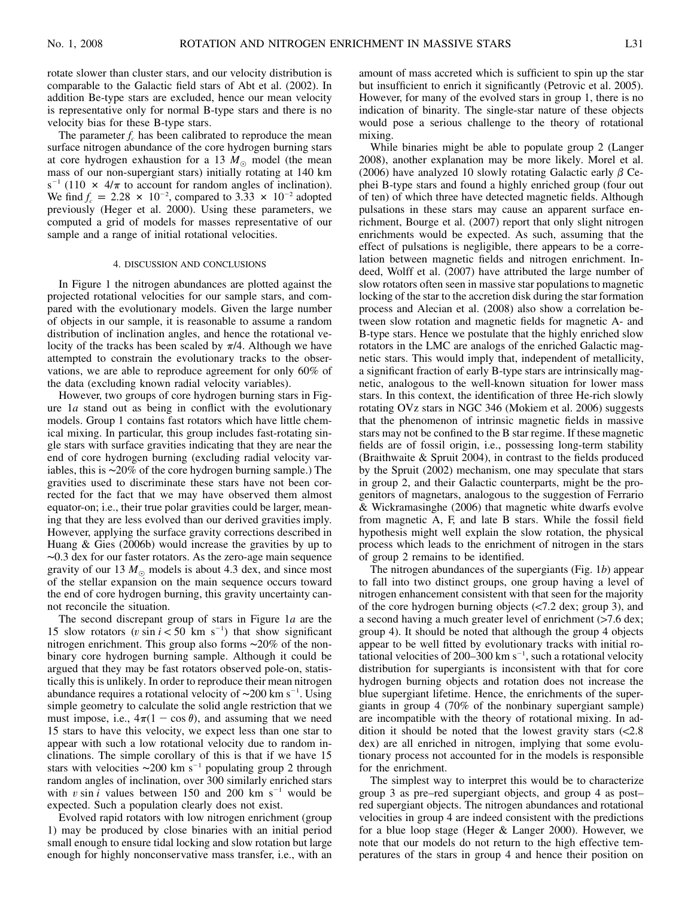rotate slower than cluster stars, and our velocity distribution is comparable to the Galactic field stars of Abt et al. (2002). In addition Be-type stars are excluded, hence our mean velocity is representative only for normal B-type stars and there is no velocity bias for these B-type stars.

The parameter  $f_c$  has been calibrated to reproduce the mean surface nitrogen abundance of the core hydrogen burning stars at core hydrogen exhaustion for a 13  $M_{\odot}$  model (the mean mass of our non-supergiant stars) initially rotating at 140 km  $s^{-1}$  (110  $\times$  4/ $\pi$  to account for random angles of inclination). We find  $f_c = 2.28 \times 10^{-2}$ , compared to 3.33  $\times 10^{-2}$  adopted previously (Heger et al. 2000). Using these parameters, we computed a grid of models for masses representative of our sample and a range of initial rotational velocities.

### 4. DISCUSSION AND CONCLUSIONS

In Figure 1 the nitrogen abundances are plotted against the projected rotational velocities for our sample stars, and compared with the evolutionary models. Given the large number of objects in our sample, it is reasonable to assume a random distribution of inclination angles, and hence the rotational velocity of the tracks has been scaled by  $\pi/4$ . Although we have attempted to constrain the evolutionary tracks to the observations, we are able to reproduce agreement for only 60% of the data (excluding known radial velocity variables).

However, two groups of core hydrogen burning stars in Figure 1*a* stand out as being in conflict with the evolutionary models. Group 1 contains fast rotators which have little chemical mixing. In particular, this group includes fast-rotating single stars with surface gravities indicating that they are near the end of core hydrogen burning (excluding radial velocity variables, this is ∼20% of the core hydrogen burning sample.) The gravities used to discriminate these stars have not been corrected for the fact that we may have observed them almost equator-on; i.e., their true polar gravities could be larger, meaning that they are less evolved than our derived gravities imply. However, applying the surface gravity corrections described in Huang & Gies (2006b) would increase the gravities by up to ∼0.3 dex for our faster rotators. As the zero-age main sequence gravity of our 13  $M_{\odot}$  models is about 4.3 dex, and since most of the stellar expansion on the main sequence occurs toward the end of core hydrogen burning, this gravity uncertainty cannot reconcile the situation.

The second discrepant group of stars in Figure 1*a* are the 15 slow rotators ( $v \sin i < 50$  km s<sup>-1</sup>) that show significant nitrogen enrichment. This group also forms ∼20% of the nonbinary core hydrogen burning sample. Although it could be argued that they may be fast rotators observed pole-on, statistically this is unlikely. In order to reproduce their mean nitrogen abundance requires a rotational velocity of  $\sim$ 200 km s<sup>-1</sup>. Using simple geometry to calculate the solid angle restriction that we must impose, i.e.,  $4\pi(1 - \cos \theta)$ , and assuming that we need 15 stars to have this velocity, we expect less than one star to appear with such a low rotational velocity due to random inclinations. The simple corollary of this is that if we have 15 stars with velocities  $\sim$ 200 km s<sup>-1</sup> populating group 2 through random angles of inclination, over 300 similarly enriched stars with v sin *i* values between 150 and 200 km  $s^{-1}$  would be expected. Such a population clearly does not exist.

Evolved rapid rotators with low nitrogen enrichment (group 1) may be produced by close binaries with an initial period small enough to ensure tidal locking and slow rotation but large enough for highly nonconservative mass transfer, i.e., with an amount of mass accreted which is sufficient to spin up the star but insufficient to enrich it significantly (Petrovic et al. 2005). However, for many of the evolved stars in group 1, there is no indication of binarity. The single-star nature of these objects would pose a serious challenge to the theory of rotational mixing.

While binaries might be able to populate group 2 (Langer 2008), another explanation may be more likely. Morel et al. (2006) have analyzed 10 slowly rotating Galactic early  $\beta$  Cephei B-type stars and found a highly enriched group (four out of ten) of which three have detected magnetic fields. Although pulsations in these stars may cause an apparent surface enrichment, Bourge et al. (2007) report that only slight nitrogen enrichments would be expected. As such, assuming that the effect of pulsations is negligible, there appears to be a correlation between magnetic fields and nitrogen enrichment. Indeed, Wolff et al. (2007) have attributed the large number of slow rotators often seen in massive star populations to magnetic locking of the star to the accretion disk during the star formation process and Alecian et al. (2008) also show a correlation between slow rotation and magnetic fields for magnetic A- and B-type stars. Hence we postulate that the highly enriched slow rotators in the LMC are analogs of the enriched Galactic magnetic stars. This would imply that, independent of metallicity, a significant fraction of early B-type stars are intrinsically magnetic, analogous to the well-known situation for lower mass stars. In this context, the identification of three He-rich slowly rotating OVz stars in NGC 346 (Mokiem et al. 2006) suggests that the phenomenon of intrinsic magnetic fields in massive stars may not be confined to the B star regime. If these magnetic fields are of fossil origin, i.e., possessing long-term stability (Braithwaite & Spruit 2004), in contrast to the fields produced by the Spruit (2002) mechanism, one may speculate that stars in group 2, and their Galactic counterparts, might be the progenitors of magnetars, analogous to the suggestion of Ferrario & Wickramasinghe (2006) that magnetic white dwarfs evolve from magnetic A, F, and late B stars. While the fossil field hypothesis might well explain the slow rotation, the physical process which leads to the enrichment of nitrogen in the stars of group 2 remains to be identified.

The nitrogen abundances of the supergiants (Fig. 1*b*) appear to fall into two distinct groups, one group having a level of nitrogen enhancement consistent with that seen for the majority of the core hydrogen burning objects  $\left($ <7.2 dex; group 3), and a second having a much greater level of enrichment  $($ >7.6 dex; group 4). It should be noted that although the group 4 objects appear to be well fitted by evolutionary tracks with initial rotational velocities of 200–300 km  $s^{-1}$ , such a rotational velocity distribution for supergiants is inconsistent with that for core hydrogen burning objects and rotation does not increase the blue supergiant lifetime. Hence, the enrichments of the supergiants in group 4 (70% of the nonbinary supergiant sample) are incompatible with the theory of rotational mixing. In addition it should be noted that the lowest gravity stars  $\langle$  -2.8 dex) are all enriched in nitrogen, implying that some evolutionary process not accounted for in the models is responsible for the enrichment.

The simplest way to interpret this would be to characterize group 3 as pre–red supergiant objects, and group 4 as post– red supergiant objects. The nitrogen abundances and rotational velocities in group 4 are indeed consistent with the predictions for a blue loop stage (Heger & Langer 2000). However, we note that our models do not return to the high effective temperatures of the stars in group 4 and hence their position on